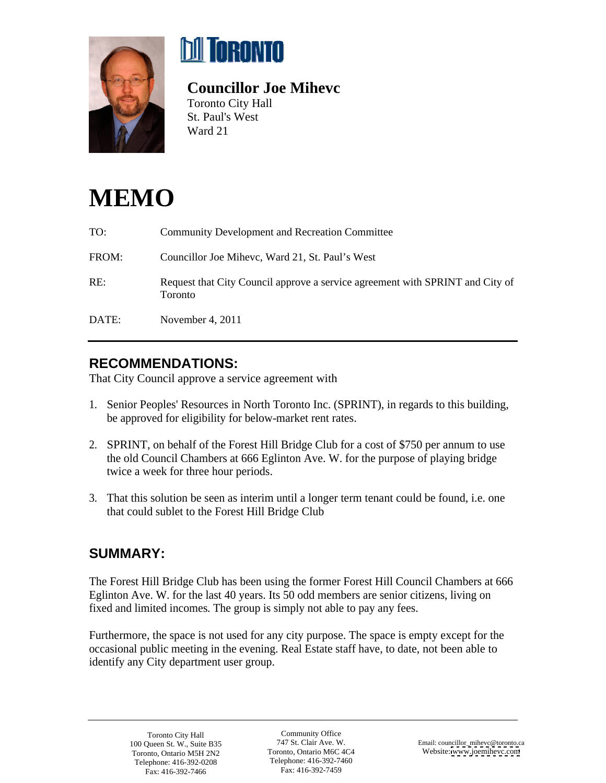



## **Councillor Joe Mihevc**

Toronto City Hall St. Paul's West Ward 21

# **MEMO**

| TO:   | <b>Community Development and Recreation Committee</b>                                    |
|-------|------------------------------------------------------------------------------------------|
| FROM: | Councillor Joe Mihevc, Ward 21, St. Paul's West                                          |
| RE:   | Request that City Council approve a service agreement with SPRINT and City of<br>Toronto |
| DATE: | November 4, 2011                                                                         |

### **RECOMMENDATIONS:**

That City Council approve a service agreement with

- 1. Senior Peoples' Resources in North Toronto Inc. (SPRINT), in regards to this building, be approved for eligibility for below-market rent rates.
- 2. SPRINT, on behalf of the Forest Hill Bridge Club for a cost of \$750 per annum to use the old Council Chambers at 666 Eglinton Ave. W. for the purpose of playing bridge twice a week for three hour periods.
- 3. That this solution be seen as interim until a longer term tenant could be found, i.e. one that could sublet to the Forest Hill Bridge Club

### **SUMMARY:**

The Forest Hill Bridge Club has been using the former Forest Hill Council Chambers at 666 Eglinton Ave. W. for the last 40 years. Its 50 odd members are senior citizens, living on fixed and limited incomes. The group is simply not able to pay any fees.

Furthermore, the space is not used for any city purpose. The space is empty except for the occasional public meeting in the evening. Real Estate staff have, to date, not been able to identify any City department user group.

Fax: 416-392-7466

Community Office Telephone: 416-392-7460 Fax: 416-392-7459 Toronto City Hall **Community Office** Community Office Telephone: 416-392-0208 Telephone: 416-392-7460